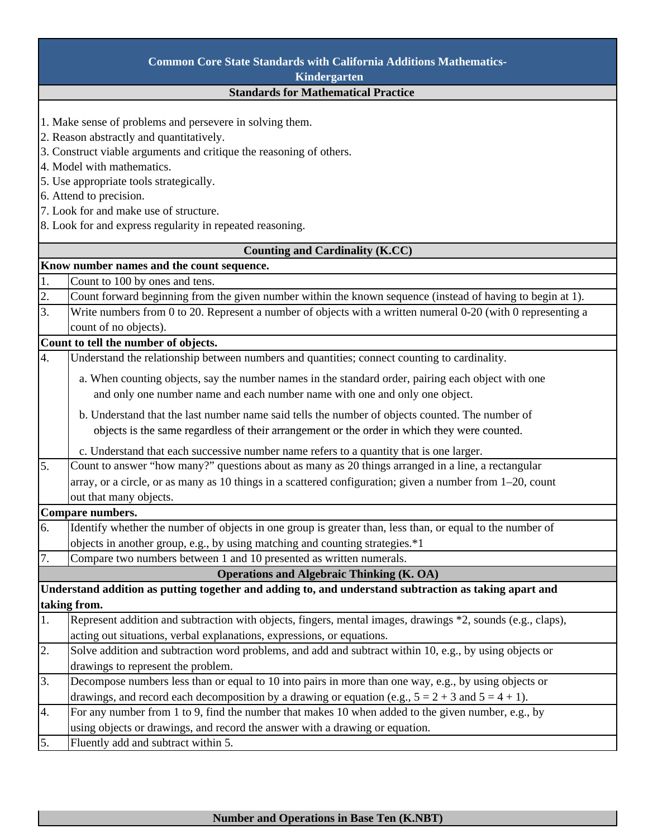| <b>Common Core State Standards with California Additions Mathematics-</b> |                                                                                                              |  |
|---------------------------------------------------------------------------|--------------------------------------------------------------------------------------------------------------|--|
| Kindergarten                                                              |                                                                                                              |  |
| <b>Standards for Mathematical Practice</b>                                |                                                                                                              |  |
|                                                                           |                                                                                                              |  |
|                                                                           | 1. Make sense of problems and persevere in solving them.                                                     |  |
| 2. Reason abstractly and quantitatively.                                  |                                                                                                              |  |
| 3. Construct viable arguments and critique the reasoning of others.       |                                                                                                              |  |
| 4. Model with mathematics.                                                |                                                                                                              |  |
| 5. Use appropriate tools strategically.                                   |                                                                                                              |  |
| 6. Attend to precision.                                                   |                                                                                                              |  |
| 7. Look for and make use of structure.                                    |                                                                                                              |  |
| 8. Look for and express regularity in repeated reasoning.                 |                                                                                                              |  |
| Counting and Cardinality (K.CC)                                           |                                                                                                              |  |
|                                                                           | Know number names and the count sequence.                                                                    |  |
| 1.                                                                        | Count to 100 by ones and tens.                                                                               |  |
| 2.                                                                        | Count forward beginning from the given number within the known sequence (instead of having to begin at 1).   |  |
| 3.                                                                        | Write numbers from 0 to 20. Represent a number of objects with a written numeral 0-20 (with 0 representing a |  |
|                                                                           | count of no objects).                                                                                        |  |
|                                                                           | Count to tell the number of objects.                                                                         |  |
| $\overline{4}$ .                                                          | Understand the relationship between numbers and quantities; connect counting to cardinality.                 |  |
|                                                                           | a. When counting objects, say the number names in the standard order, pairing each object with one           |  |
|                                                                           | and only one number name and each number name with one and only one object.                                  |  |
|                                                                           | b. Understand that the last number name said tells the number of objects counted. The number of              |  |
|                                                                           | objects is the same regardless of their arrangement or the order in which they were counted.                 |  |
|                                                                           | c. Understand that each successive number name refers to a quantity that is one larger.                      |  |
| 5.                                                                        | Count to answer "how many?" questions about as many as 20 things arranged in a line, a rectangular           |  |
|                                                                           | array, or a circle, or as many as 10 things in a scattered configuration; given a number from 1–20, count    |  |
|                                                                           | out that many objects.                                                                                       |  |
|                                                                           | Compare numbers.                                                                                             |  |
| 6.                                                                        | Identify whether the number of objects in one group is greater than, less than, or equal to the number of    |  |
|                                                                           | objects in another group, e.g., by using matching and counting strategies.*1                                 |  |
| 7.                                                                        | Compare two numbers between 1 and 10 presented as written numerals.                                          |  |
|                                                                           | <b>Operations and Algebraic Thinking (K. OA)</b>                                                             |  |
|                                                                           | Understand addition as putting together and adding to, and understand subtraction as taking apart and        |  |
|                                                                           | taking from.                                                                                                 |  |
| 1.                                                                        | Represent addition and subtraction with objects, fingers, mental images, drawings *2, sounds (e.g., claps),  |  |
|                                                                           | acting out situations, verbal explanations, expressions, or equations.                                       |  |
| 2.                                                                        | Solve addition and subtraction word problems, and add and subtract within 10, e.g., by using objects or      |  |
|                                                                           | drawings to represent the problem.                                                                           |  |
| 3.                                                                        | Decompose numbers less than or equal to 10 into pairs in more than one way, e.g., by using objects or        |  |
|                                                                           | drawings, and record each decomposition by a drawing or equation (e.g., $5 = 2 + 3$ and $5 = 4 + 1$ ).       |  |
| 4.                                                                        | For any number from 1 to 9, find the number that makes 10 when added to the given number, e.g., by           |  |
|                                                                           | using objects or drawings, and record the answer with a drawing or equation.                                 |  |
| 5.                                                                        | Fluently add and subtract within 5.                                                                          |  |